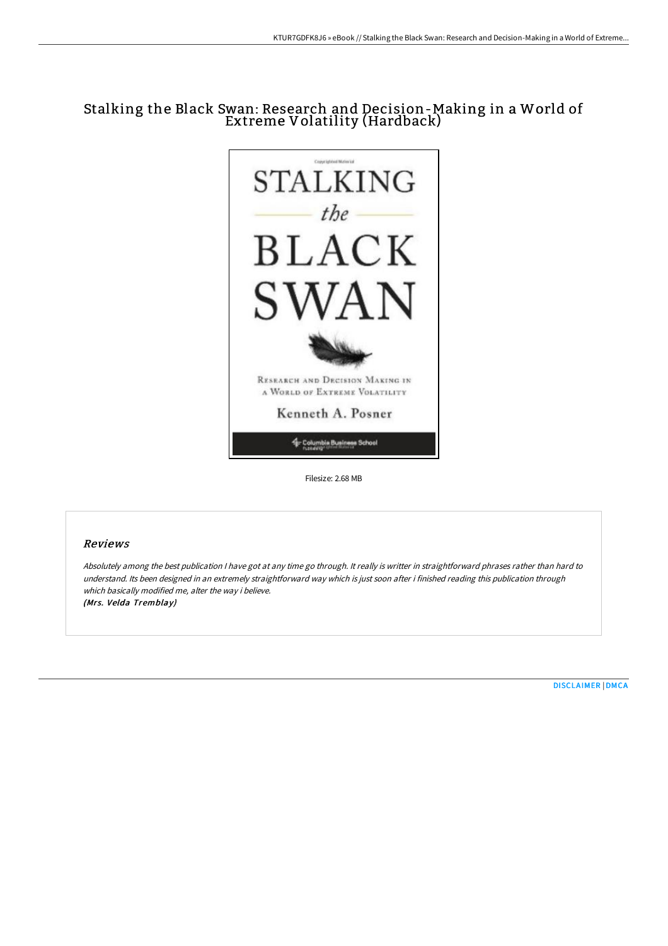# Stalking the Black Swan: Research and Decision-Making in a World of Extreme Volatility (Hardback)



Filesize: 2.68 MB

### Reviews

Absolutely among the best publication <sup>I</sup> have got at any time go through. It really is writter in straightforward phrases rather than hard to understand. Its been designed in an extremely straightforward way which is just soon after i finished reading this publication through which basically modified me, alter the way i believe. (Mrs. Velda Tremblay)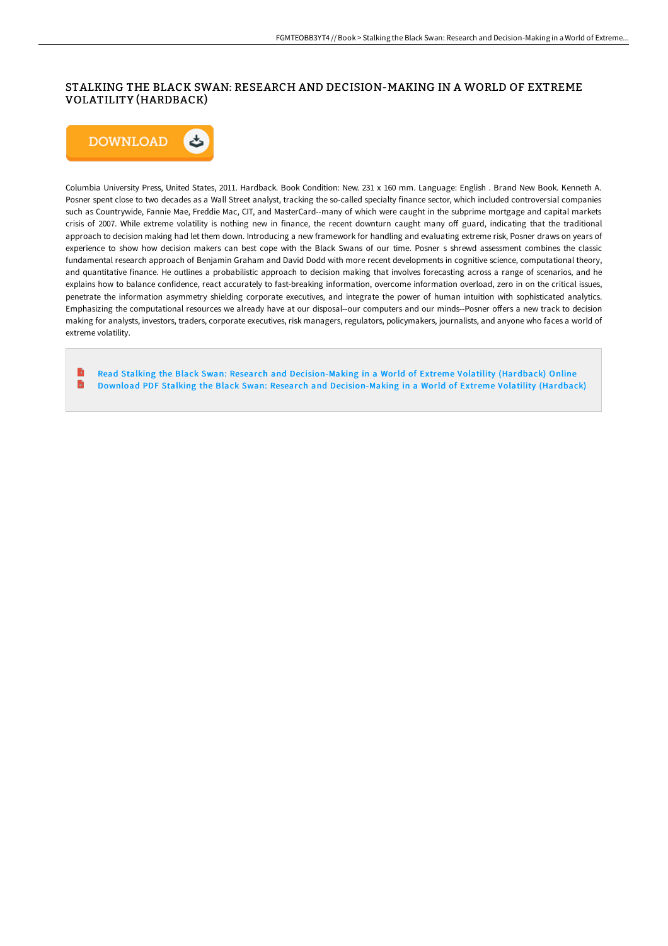## STALKING THE BLACK SWAN: RESEARCH AND DECISION-MAKING IN A WORLD OF EXTREME VOLATILITY (HARDBACK)



Columbia University Press, United States, 2011. Hardback. Book Condition: New. 231 x 160 mm. Language: English . Brand New Book. Kenneth A. Posner spent close to two decades as a Wall Street analyst, tracking the so-called specialty finance sector, which included controversial companies such as Countrywide, Fannie Mae, Freddie Mac, CIT, and MasterCard--many of which were caught in the subprime mortgage and capital markets crisis of 2007. While extreme volatility is nothing new in finance, the recent downturn caught many off guard, indicating that the traditional approach to decision making had let them down. Introducing a new framework for handling and evaluating extreme risk, Posner draws on years of experience to show how decision makers can best cope with the Black Swans of our time. Posner s shrewd assessment combines the classic fundamental research approach of Benjamin Graham and David Dodd with more recent developments in cognitive science, computational theory, and quantitative finance. He outlines a probabilistic approach to decision making that involves forecasting across a range of scenarios, and he explains how to balance confidence, react accurately to fast-breaking information, overcome information overload, zero in on the critical issues, penetrate the information asymmetry shielding corporate executives, and integrate the power of human intuition with sophisticated analytics. Emphasizing the computational resources we already have at our disposal--our computers and our minds--Posner offers a new track to decision making for analysts, investors, traders, corporate executives, risk managers, regulators, policymakers, journalists, and anyone who faces a world of extreme volatility.

Read Stalking the Black Swan: Research and [Decision-Making](http://bookera.tech/stalking-the-black-swan-research-and-decision-ma.html) in a World of Extreme Volatility (Hardback) Online B Download PDF Stalking the Black Swan: Research and [Decision-Making](http://bookera.tech/stalking-the-black-swan-research-and-decision-ma.html) in a World of Extreme Volatility (Hardback)